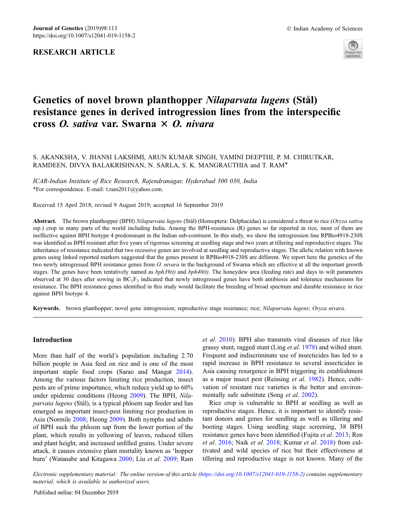

# Genetics of novel brown planthopper Nilaparvata lugens (Stål) resistance genes in derived introgression lines from the interspecific cross O. sativa var. Swarna  $\times$  O. nivara

# S. AKANKSHA, V. JHANSI LAKSHMI, ARUN KUMAR SINGH, YAMINI DEEPTHI, P. M. CHIRUTKAR, RAMDEEN, DIVYA BALAKRISHNAN, N. SARLA, S. K. MANGRAUTHIA and T. RAM\*

ICAR-Indian Institute of Rice Research, Rajendranagar, Hyderabad 500 030, India \*For correspondence. E-mail: t.ram2011@yahoo.com.

Received 15 April 2018; revised 9 August 2019; accepted 16 September 2019

Abstract. The brown planthopper (BPH) Nilaparvata lugens (Stål) (Homoptera: Delphacidae) is considered a threat to rice (Oryza sativa ssp.) crop in many parts of the world including India. Among the BPH-resistance (R) genes so far reported in rice, most of them are ineffective against BPH biotype 4 predominant in the Indian sub-continent. In this study, we show the introgression line RPBio4918-230S was identified as BPH resistant after five years of rigorous screening at seedling stage and two years at tillering and reproductive stages. The inheritance of resistance indicated that two recessive genes are involved at seedling and reproductive stages. The allelic relation with known genes using linked reported markers suggested that the genes present in RPBio4918-230S are different. We report here the genetics of the two newly introgressed BPH resistance genes from O. nivara in the background of Swarna which are effective at all the important growth stages. The genes have been tentatively named as  $bph39(t)$  and  $bph40(t)$ . The honeydew area (feeding rate) and days to wilt parameters observed at 30 days after sowing in  $BC_1F_3$  indicated that newly introgressed genes have both antibiosis and tolerance mechanisms for resistance. The BPH resistance genes identified in this study would facilitate the breeding of broad spectrum and durable resistance in rice against BPH biotype 4.

Keywords. brown planthopper; novel gene introgression; reproductive stage resistance; rice; Nilaparvata lugens; Oryza nivara.

# Introduction

More than half of the world's population including 2.70 billion people in Asia feed on rice and is one of the most important staple food crops (Sarao and Mangat 2014). Among the various factors limiting rice production, insect pests are of prime importance, which reduce yield up to 60% under epidemic conditions (Heong 2009). The BPH, Nilaparvata lugens (Stål), is a typical phloem sap feeder and has emerged as important insect-pest limiting rice production in Asia (Normile 2008; Heong 2009). Both nymphs and adults of BPH suck the phloem sap from the lower portion of the plant, which results in yellowing of leaves, reduced tillers and plant height, and increased unfilled grains. Under severe attack, it causes extensive plant mortality known as 'hopper burn' (Watanabe and Kitagawa 2000; Liu et al. 2009; Ram et al. 2010). BPH also transmits viral diseases of rice like grassy stunt, ragged stunt (Ling et al. 1978) and wilted stunt. Frequent and indiscriminate use of insecticides has led to a rapid increase in BPH resistance to several insecticides in Asia causing resurgence in BPH triggering its establishment as a major insect pest (Reissing et al. 1982). Hence, cultivation of resistant rice varieties is the better and environmentally safe substitute (Song et al. 2002).

Rice crop is vulnerable to BPH at seedling as well as reproductive stages. Hence, it is important to identify resistant donors and genes for seedling as well as tillering and booting stages. Using seedling stage screening, 38 BPH resistance genes have been identified (Fujita et al. 2013; Ren et al. 2016; Naik et al. 2018; Kumar et al. 2018) from cultivated and wild species of rice but their effectiveness at tillering and reproductive stage is not known. Many of the

Electronic supplementary material: The online version of this article (https://doi.org/10.1007/s12041-019-1158-2) contains supplementary material, which is available to authorized users.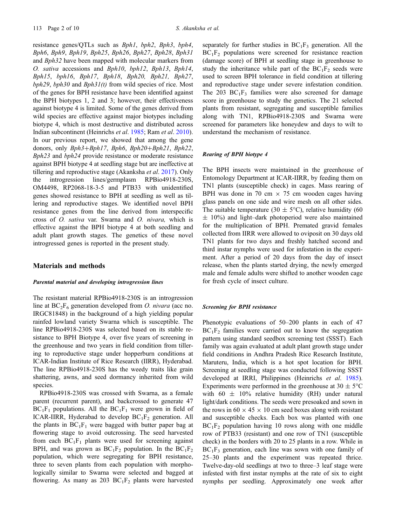resistance genes/QTLs such as Bph1, bph2, Bph3, bph4, Bph6, Bph9, Bph19, Bph25, Bph26, Bph27, Bph28, Bph31 and Bph32 have been mapped with molecular markers from O. sativa accessions and Bph10, bph12, Bph13, Bph14, Bph15, bph16, Bph17, Bph18, Bph20, Bph21, Bph27,  $bph29$ ,  $bph30$  and  $Bph31(t)$  from wild species of rice. Most of the genes for BPH resistance have been identified against the BPH biotypes 1, 2 and 3; however, their effectiveness against biotype 4 is limited. Some of the genes derived from wild species are effective against major biotypes including biotype 4, which is most destructive and distributed across Indian subcontinent (Heinrichs et al. 1985; Ram et al. 2010). In our previous report, we showed that among the gene donors, only Bph3+Bph17, Bph6, Bph20+Bph21, Bph22, Bph23 and bph24 provide resistance or moderate resistance against BPH biotype 4 at seedling stage but are ineffective at tillering and reproductive stage (Akanksha et al. 2017). Only the introgression lines/germplasm RPBio4918-230S, OM4498, RP2068-18-3-5 and PTB33 with unidentified genes showed resistance to BPH at seedling as well as tillering and reproductive stages. We identified novel BPH resistance genes from the line derived from interspecific cross of O. sativa var. Swarna and O. nivara, which is effective against the BPH biotype 4 at both seedling and adult plant growth stages. The genetics of these novel introgressed genes is reported in the present study.

# Materials and methods

## Parental material and developing introgression lines

The resistant material RPBio4918-230S is an introgression line at  $BC_2F_6$  generation developed from O. nivara (acc no. IRGC81848) in the background of a high yielding popular rainfed lowland variety Swarna which is susceptible. The line RPBio4918-230S was selected based on its stable resistance to BPH Biotype 4, over five years of screening in the greenhouse and two years in field condition from tillering to reproductive stage under hopperburn conditions at ICAR-Indian Institute of Rice Research (IIRR), Hyderabad. The line RPBio4918-230S has the weedy traits like grain shattering, awns, and seed dormancy inherited from wild species.

RPBio4918-230S was crossed with Swarna, as a female parent (recurrent parent), and backcrossed to generate 47  $BC_1F_1$  populations. All the  $BC_1F_1$  were grown in field of ICAR-IIRR, Hyderabad to develop  $BC_1F_2$  generation. All the plants in  $BC_1F_1$  were bagged with butter paper bag at flowering stage to avoid outcrossing. The seed harvested from each  $BC_1F_1$  plants were used for screening against BPH, and was grown as  $BC_1F_2$  population. In the  $BC_1F_2$ population, which were segregating for BPH resistance, three to seven plants from each population with morphologically similar to Swarna were selected and bagged at flowering. As many as 203  $BC_1F_2$  plants were harvested

separately for further studies in  $BC_1F_3$  generation. All the  $BC_1F_2$  populations were screened for resistance reaction (damage score) of BPH at seedling stage in greenhouse to study the inheritance while part of the  $BC_1F_2$  seeds were used to screen BPH tolerance in field condition at tillering and reproductive stage under severe infestation condition. The 203  $BC_1F_3$  families were also screened for damage score in greenhouse to study the genetics. The 21 selected plants from resistant, segregating and susceptible families along with TN1, RPBio4918-230S and Swarna were screened for parameters like honeydew and days to wilt to understand the mechanism of resistance.

## Rearing of BPH biotype 4

The BPH insects were maintained in the greenhouse of Entomology Department at ICAR-IIRR, by feeding them on TN1 plants (susceptible check) in cages. Mass rearing of BPH was done in 70 cm  $\times$  75 cm wooden cages having glass panels on one side and wire mesh on all other sides. The suitable temperature (30  $\pm$  5°C), relative humidity (60  $\pm$  10%) and light–dark photoperiod were also maintained for the multiplication of BPH. Premated gravid females collected from IIRR were allowed to oviposit on 30 days old TN1 plants for two days and freshly hatched second and third instar nymphs were used for infestation in the experiment. After a period of 20 days from the day of insect release, when the plants started drying, the newly emerged male and female adults were shifted to another wooden cage for fresh cycle of insect culture.

## Screening for BPH resistance

Phenotypic evaluations of 50–200 plants in each of 47  $BC_1F_2$  families were carried out to know the segregation pattern using standard seedbox screening test (SSST). Each family was again evaluated at adult plant growth stage under field conditions in Andhra Pradesh Rice Research Institute, Maruteru, India, which is a hot spot location for BPH. Screening at seedling stage was conducted following SSST developed at IRRI, Philippines (Heinrichs et al. 1985). Experiments were performed in the greenhouse at  $30 \pm 5^{\circ}$ C with 60  $\pm$  10% relative humidity (RH) under natural light/dark conditions. The seeds were presoaked and sown in the rows in 60  $\times$  45  $\times$  10 cm seed boxes along with resistant and susceptible checks. Each box was planted with one  $BC_1F_2$  population having 10 rows along with one middle row of PTB33 (resistant) and one row of TN1 (susceptible check) in the borders with 20 to 25 plants in a row. While in  $BC_1F_3$  generation, each line was sown with one family of 25–30 plants and the experiment was repeated thrice. Twelve-day-old seedlings at two to three–3 leaf stage were infested with first instar nymphs at the rate of six to eight nymphs per seedling. Approximately one week after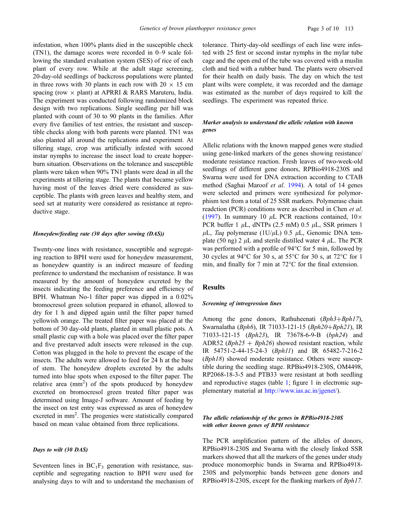infestation, when 100% plants died in the susceptible check (TN1), the damage scores were recorded in 0–9 scale following the standard evaluation system (SES) of rice of each plant of every row. While at the adult stage screening, 20-day-old seedlings of backcross populations were planted in three rows with 30 plants in each row with  $20 \times 15$  cm spacing (row  $\times$  plant) at APRRI & RARS Maruteru, India. The experiment was conducted following randomized block design with two replications. Single seedling per hill was planted with count of 30 to 90 plants in the families. After every five families of test entries, the resistant and susceptible checks along with both parents were planted. TN1 was also planted all around the replications and experiment. At tillering stage, crop was artificially infested with second instar nymphs to increase the insect load to create hopperburn situation. Observations on the tolerance and susceptible plants were taken when 90% TN1 plants were dead in all the experiments at tillering stage. The plants that became yellow having most of the leaves dried were considered as susceptible. The plants with green leaves and healthy stem, and seed set at maturity were considered as resistance at reproductive stage.

## Honeydew/feeding rate (30 days after sowing (DAS))

Twenty-one lines with resistance, susceptible and segregating reaction to BPH were used for honeydew measurement, as honeydew quantity is an indirect measure of feeding preference to understand the mechanism of resistance. It was measured by the amount of honeydew excreted by the insects indicating the feeding preference and efficiency of BPH. Whatman No-1 filter paper was dipped in a 0.02% bromocresol green solution prepared in ethanol, allowed to dry for 1 h and dipped again until the filter paper turned yellowish orange. The treated filter paper was placed at the bottom of 30 day-old plants, planted in small plastic pots. A small plastic cup with a hole was placed over the filter paper and five prestarved adult insects were released in the cup. Cotton was plugged in the hole to prevent the escape of the insects. The adults were allowed to feed for 24 h at the base of stem. The honeydew droplets excreted by the adults turned into blue spots when exposed to the filter paper. The relative area  $\text{(mm}^2)$  of the spots produced by honeydew excreted on bromocresol green treated filter paper was determined using Image-J software. Amount of feeding by the insect on test entry was expressed as area of honeydew excreted in mm<sup>2</sup>. The progenies were statistically compared based on mean value obtained from three replications.

# Days to wilt (30 DAS)

Seventeen lines in  $BC_1F_3$  generation with resistance, susceptible and segregating reaction to BPH were used for analysing days to wilt and to understand the mechanism of tolerance. Thirty-day-old seedlings of each line were infested with 25 first or second instar nymphs in the mylar tube cage and the open end of the tube was covered with a muslin cloth and tied with a rubber band. The plants were observed for their health on daily basis. The day on which the test plant wilts were complete, it was recorded and the damage was estimated as the number of days required to kill the seedlings. The experiment was repeated thrice.

# Marker analysis to understand the allelic relation with known genes

Allelic relations with the known mapped genes were studied using gene-linked markers of the genes showing resistance/ moderate resistance reaction. Fresh leaves of two-week-old seedlings of different gene donors, RPBio4918-230S and Swarna were used for DNA extraction according to CTAB method (Saghai Maroof et al. 1994). A total of 14 genes were selected and primers were synthesized for polymorphism test from a total of 25 SSR markers. Polymerase chain readction (PCR) conditions were as described in Chen et al. (1997). In summary 10  $\mu$ L PCR reactions contained,  $10 \times$ PCR buffer 1  $\mu$ L, dNTPs (2.5 mM) 0.5  $\mu$ L, SSR primers 1  $\mu$ L, *Taq* polymerase (1U/ $\mu$ L) 0.5  $\mu$ L, Genomic DNA template (50 ng) 2  $\mu$ L and sterile distilled water 4  $\mu$ L. The PCR was performed with a profile of  $94^{\circ}$ C for 5 min, followed by 30 cycles at 94 $\rm ^{o}C$  for 30 s, at 55 $\rm ^{o}C$  for 30 s, at 72 $\rm ^{o}C$  for 1 min, and finally for 7 min at  $72^{\circ}$ C for the final extension.

# Results

#### Screening of introgression lines

Among the gene donors, Rathuheenati  $(Bph3+Bph17)$ , Swarnalatha ( $Bph6$ ), IR 71033-121-15 ( $Bph20+Bph21$ ), IR 71033-121-15 (Bph23), IR 73678-6-9-B (bph24) and ADR52 ( $Bph25 + Bph26$ ) showed resistant reaction, while IR 54751-2-44-15-24-3 (Bph11) and IR 65482-7-216-2 (Bph18) showed moderate resistance. Others were susceptible during the seedling stage. RPBio4918-230S, OM4498, RP2068-18-3-5 and PTB33 were resistant at both seedling and reproductive stages (table 1; figure 1 in electronic supplementary material at http://www.ias.ac.in/jgenet/).

# The allelic relationship of the genes in RPBio4918-230S with other known genes of BPH resistance

The PCR amplification pattern of the alleles of donors, RPBio4918-230S and Swarna with the closely linked SSR markers showed that all the markers of the genes under study produce monomorphic bands in Swarna and RPBio4918- 230S and polymorphic bands between gene donors and RPBio4918-230S, except for the flanking markers of Bph17.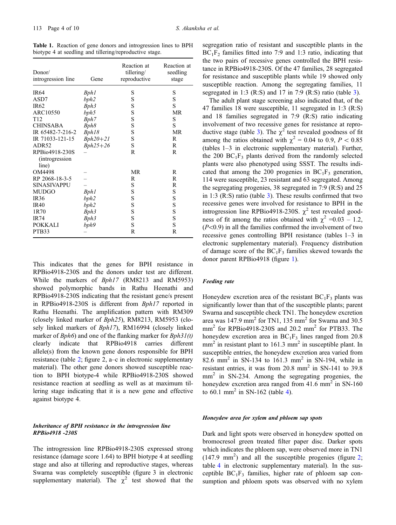Table 1. Reaction of gene donors and introgression lines to BPH biotype 4 at seedling and tillering/reproductive stage.

| Donor/<br>introgression line             | Gene       | Reaction at<br>tillering/<br>reproductive | Reaction at<br>seedling<br>stage |
|------------------------------------------|------------|-------------------------------------------|----------------------------------|
| <b>IR64</b>                              | Bph1       | S                                         | S                                |
| ASD7                                     | bph2       | S                                         | S                                |
| <b>IR62</b>                              | Bph3       | S                                         | S                                |
| ARC10550                                 | bph5       | S                                         | MR                               |
| T <sub>12</sub>                          | Bph7       | S                                         | S                                |
| <b>CHINSABA</b>                          | Bph8       | S                                         | S                                |
| IR 65482-7-216-2                         | Bph18      | S                                         | MR                               |
| IR 71033-121-15                          | $Bph20+21$ | S                                         | R                                |
| ADR52                                    | $Bph25+26$ | S                                         | R                                |
| RPBio4918-230S<br><i>(introgression)</i> |            | R                                         | R                                |
| line)                                    |            |                                           |                                  |
| OM4498                                   |            | MR                                        | R                                |
| RP 2068-18-3-5                           |            | R                                         | R                                |
| SINASIVAPPU                              |            | S                                         | R                                |
| MUDGO                                    | Bph1       | S                                         | S                                |
| <b>IR36</b>                              | bph2       | S                                         | S                                |
| <b>IR40</b>                              | bph2       | S                                         | S                                |
| 1R70                                     | Bph3       | S                                         | S                                |
| <b>IR74</b>                              | Bph3       | S                                         | S                                |
| <b>POKKALI</b>                           | bph9       | S                                         | S                                |
| PTB33                                    |            | R                                         | R                                |

This indicates that the genes for BPH resistance in RPBio4918-230S and the donors under test are different. While the markers of Bph17 (RM8213 and RM5953) showed polymorphic bands in Rathu Heenathi and RPBio4918-230S indicating that the resistant gene/s present in RPBio4918-230S is different from Bph17 reported in Rathu Heenathi. The amplification pattern with RM309 (closely linked marker of Bph25), RM8213, RM5953 (closely linked markers of Bph17), RM16994 (closely linked marker of  $Bph6$ ) and one of the flanking marker for  $Bph31(t)$ clearly indicate that RPBio4918 carries different allele(s) from the known gene donors responsible for BPH resistance (table 2; figure 2, a–c in electronic supplementary material). The other gene donors showed susceptible reaction to BPH biotype-4 while RPBio4918-230S showed resistance reaction at seedling as well as at maximum tillering stage indicating that it is a new gene and effective against biotype 4.

# Inheritance of BPH resistance in the introgression line RPBio4918 -230S

The introgression line RPBio4918-230S expressed strong resistance (damage score 1.64) to BPH biotype 4 at seedling stage and also at tillering and reproductive stages, whereas Swarna was completely susceptible (figure 3 in electronic supplementary material). The  $\chi^2$  test showed that the segregation ratio of resistant and susceptible plants in the  $BC_1F_2$  families fitted into 7:9 and 1:3 ratio, indicating that the two pairs of recessive genes controlled the BPH resistance in RPBio4918-230S. Of the 47 families, 28 segregated for resistance and susceptible plants while 19 showed only susceptible reaction. Among the segregating families, 11 segregated in 1:3 (R:S) and 17 in 7:9 (R:S) ratio (table 3).

The adult plant stage screening also indicated that, of the 47 families 18 were susceptible, 11 segregated in 1:3 (R:S) and 18 families segregated in 7:9 (R:S) ratio indicating involvement of two recessive genes for resistance at reproductive stage (table 3). The  $\chi^2$  test revealed goodness of fit among the ratios obtained with  $\chi^2 = 0.04$  to 0.9,  $P < 0.85$ (tables 1–3 in electronic supplementary material). Further, the 200  $BC_1F_3$  plants derived from the randomly selected plants were also phenotyped using SSST. The results indicated that among the 200 progenies in  $BC_1F_3$  generation, 114 were susceptible, 23 resistant and 63 segregated. Among the segregating progenies, 38 segregated in 7:9 (R:S) and 25 in 1:3 (R:S) ratio (table 3). These results confirmed that two recessive genes were involved for resistance to BPH in the introgression line RPBio4918-230S.  $\chi^2$  test revealed goodness of fit among the ratios obtained with  $\chi^2$  =0.03 – 1.2,  $(P<0.9)$  in all the families confirmed the involvement of two recessive genes controlling BPH resistance (tables 1–3 in electronic supplementary material). Frequency distribution of damage score of the  $BC_1F_3$  families skewed towards the donor parent RPBio4918 (figure 1).

## Feeding rate

Honeydew excretion area of the resistant  $BC_1F_3$  plants was significantly lower than that of the susceptible plants; parent Swarna and susceptible check TN1. The honeydew excretion area was  $147.9$  mm<sup>2</sup> for TN1, 135 mm<sup>2</sup> for Swarna and 30.5  $mm<sup>2</sup>$  for RPBio4918-230S and 20.2  $mm<sup>2</sup>$  for PTB33. The honeydew excretion area in  $BC_1F_3$  lines ranged from 20.8  $mm<sup>2</sup>$  in resistant plant to 161.3 mm<sup>2</sup> in susceptible plant. In susceptible entries, the honeydew excretion area varied from 82.6 mm<sup>2</sup> in SN-134 to 161.3 mm<sup>2</sup> in SN-194, while in resistant entries, it was from  $20.8 \text{ mm}^2$  in SN-141 to 39.8  $mm<sup>2</sup>$  in SN-234. Among the segregating progenies, the honeydew excretion area ranged from  $41.6$  mm<sup>2</sup> in SN-160 to 60.1 mm<sup>2</sup> in SN-162 (table 4).

## Honeydew area for xylem and phloem sap spots

Dark and light spots were observed in honeydew spotted on bromocresol green treated filter paper disc. Darker spots which indicates the phloem sap, were observed more in TN1  $(147.9 \text{ mm}^2)$  and all the susceptible progenies (figure 2; table 4 in electronic supplementary material). In the susceptible  $BC_1F_3$  families, higher rate of phloem sap consumption and phloem spots was observed with no xylem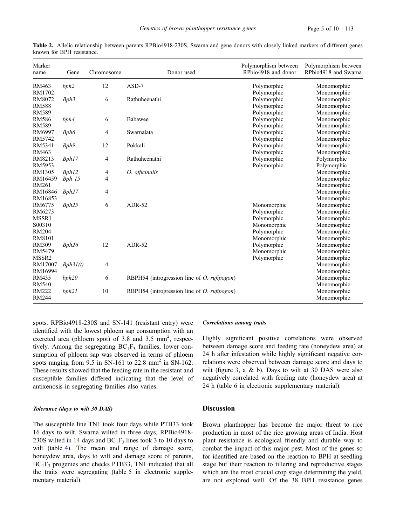| Marker<br>name | Gene     | Chromosome | Donor used                                          | Polymorphism between<br>RPbio4918 and donor | Polymorphism between<br>RPbio4918 and Swarna |
|----------------|----------|------------|-----------------------------------------------------|---------------------------------------------|----------------------------------------------|
| RM463          | bph2     | 12         | $ASD-7$                                             | Polymorphic                                 | Monomorphic                                  |
| RM1702         |          |            |                                                     | Polymorphic                                 | Monomorphic                                  |
| RM8072         | Bph3     | 6          | Rathuheenathi                                       | Polymorphic                                 | Monomorphic                                  |
| <b>RM588</b>   |          |            |                                                     | Polymorphic                                 | Monomorphic                                  |
| <b>RM589</b>   |          |            |                                                     | Polymorphic                                 | Monomorphic                                  |
| <b>RM586</b>   | bph4     | 6          | Babawee                                             | Polymorphic                                 | Monomorphic                                  |
| <b>RM589</b>   |          |            |                                                     | Polymorphic                                 | Monomorphic                                  |
| RM6997         | Bph6     | 4          | Swarnalata                                          | Polymorphic                                 | Monomorphic                                  |
| RM5742         |          |            |                                                     | Polymorphic                                 | Monomorphic                                  |
| RM5341         | Bph9     | 12         | Pokkali                                             | Polymorphic                                 | Monomorphic                                  |
| RM463          |          |            |                                                     | Polymorphic                                 | Monomorphic                                  |
| RM8213         | Bph17    | 4          | Rathuheenathi                                       | Polymorphic                                 | Polymorphic                                  |
| RM5953         |          |            |                                                     | Polymorphic                                 | Polymorphic                                  |
| RM1305         | Bph12    | 4          | O. officinalis                                      |                                             | Monomorphic                                  |
| RM16459        | Bph 15   | 4          |                                                     |                                             | Monomorphic                                  |
| <b>RM261</b>   |          |            |                                                     |                                             | Monomorphic                                  |
| RM16846        | Bph27    | 4          |                                                     |                                             | Monomorphic                                  |
| RM16853        |          |            |                                                     |                                             | Monomorphic                                  |
| RM6775         | Bph25    | 6          | $ADR-52$                                            | Monomorphic                                 | Monomorphic                                  |
| RM6273         |          |            |                                                     | Polymorphic                                 | Monomorphic                                  |
| MSSR1          |          |            |                                                     | Polymorphic                                 | Monomorphic                                  |
| S00310         |          |            |                                                     | Monomorphic                                 | Monomorphic                                  |
| <b>RM204</b>   |          |            |                                                     | Polymorphic                                 | Monomorphic                                  |
| RM8101         |          |            |                                                     | Monomorphic                                 | Monomorphic                                  |
| <b>RM309</b>   | Bph26    | 12         | $ADR-52$                                            | Polymorphic                                 | Monomorphic                                  |
| RM5479         |          |            |                                                     | Monomorphic                                 | Monomorphic                                  |
| MSSR2          |          |            |                                                     | Polymorphic                                 | Monomorphic                                  |
| RM17007        | Bph31(t) | 4          |                                                     |                                             | Monomorphic                                  |
| RM16994        |          |            |                                                     |                                             | Monomorphic                                  |
| RM435          | bph20    | 6          | RBPH54 (introgression line of <i>O. rufipogon</i> ) |                                             | Monomorphic                                  |
| <b>RM540</b>   |          |            |                                                     |                                             | Monomorphic                                  |
| <b>RM222</b>   | bph21    | 10         | RBPH54 (introgression line of <i>O. rufipogon</i> ) |                                             | Monomorphic                                  |
| <b>RM244</b>   |          |            |                                                     |                                             | Monomorphic                                  |

Table 2. Allelic relationship between parents RPBio4918-230S, Swarna and gene donors with closely linked markers of different genes known for BPH resistance.

spots. RPBio4918-230S and SN-141 (resistant entry) were identified with the lowest phloem sap consumption with an excreted area (phloem spot) of  $3.8$  and  $3.5$  mm<sup>2</sup>, respectively. Among the segregating  $BC_1F_3$  families, lower consumption of phloem sap was observed in terms of phloem spots ranging from  $9.5$  in SN-161 to  $22.8$  mm<sup>2</sup> in SN-162. These results showed that the feeding rate in the resistant and susceptible families differed indicating that the level of antixenosis in segregating families also varies.

# Tolerance (days to wilt 30 DAS)

The susceptible line TN1 took four days while PTB33 took 16 days to wilt. Swarna wilted in three days, RPBio4918- 230S wilted in 14 days and  $BC_1F_3$  lines took 3 to 10 days to wilt (table 4). The mean and range of damage score, honeydew area, days to wilt and damage score of parents,  $BC_1F_3$  progenies and checks PTB33, TN1 indicated that all the traits were segregating (table 5 in electronic supplementary material).

# Correlations among traits

Highly significant positive correlations were observed between damage score and feeding rate (honeydew area) at 24 h after infestation while highly significant negative correlations were observed between damage score and days to wilt (figure  $3$ , a & b). Days to wilt at 30 DAS were also negatively correlated with feeding rate (honeydew area) at 24 h (table 6 in electronic supplementary material).

# Discussion

Brown planthopper has become the major threat to rice production in most of the rice growing areas of India. Host plant resistance is ecological friendly and durable way to combat the impact of this major pest. Most of the genes so for identified are based on the reaction to BPH at seedling stage but their reaction to tillering and reproductive stages which are the most crucial crop stage determining the yield, are not explored well. Of the 38 BPH resistance genes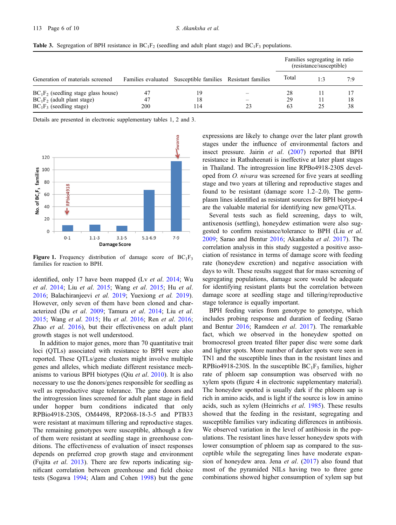|                                                                                                       |                 |                                                            | Families segregating in ratio<br>(resistance/susceptible) |     |          |
|-------------------------------------------------------------------------------------------------------|-----------------|------------------------------------------------------------|-----------------------------------------------------------|-----|----------|
| Generation of materials screened                                                                      |                 | Families evaluated Susceptible families Resistant families | Total                                                     | 1:3 | 7:9      |
| $BC_1F_2$ (seedling stage glass house)<br>$BC_1F_2$ (adult plant stage)<br>$BC_1F_3$ (seedling stage) | 47<br>47<br>200 | 19<br>18<br>114                                            | 28<br>29<br>63                                            | 25  | 18<br>38 |

**Table 3.** Segregation of BPH resistance in  $BC_1F_2$  (seedling and adult plant stage) and  $BC_1F_3$  populations.

Details are presented in electronic supplementary tables 1, 2 and 3.



Figure 1. Frequency distribution of damage score of  $BC_1F_3$ families for reaction to BPH.

identified, only 17 have been mapped (Ly et al. 2014; Wu et al. 2014; Liu et al. 2015; Wang et al. 2015; Hu et al. 2016; Balachiranjeevi et al. 2019; Yuexiong et al. 2019). However, only seven of them have been cloned and characterized (Du et al. 2009; Tamura et al. 2014; Liu et al. 2015; Wang et al. 2015; Hu et al. 2016; Ren et al. 2016; Zhao et al. 2016), but their effectiveness on adult plant growth stages is not well understood.

In addition to major genes, more than 70 quantitative trait loci (QTLs) associated with resistance to BPH were also reported. These QTLs/gene clusters might involve multiple genes and alleles, which mediate different resistance mechanisms to various BPH biotypes (Qiu et al. 2010). It is also necessary to use the donors/genes responsible for seedling as well as reproductive stage tolerance. The gene donors and the introgression lines screened for adult plant stage in field under hopper burn conditions indicated that only RPBio4918-230S, OM4498, RP2068-18-3-5 and PTB33 were resistant at maximum tillering and reproductive stages. The remaining genotypes were susceptible, although a few of them were resistant at seedling stage in greenhouse conditions. The effectiveness of evaluation of insect responses depends on preferred crop growth stage and environment (Fujita et al. 2013). There are few reports indicating significant correlation between greenhouse and field choice tests (Sogawa 1994; Alam and Cohen 1998) but the gene expressions are likely to change over the later plant growth stages under the influence of environmental factors and insect pressure. Jairin et al. (2007) reported that BPH resistance in Rathuheenati is ineffective at later plant stages in Thailand. The introgression line RPBo4918-230S developed from O. nivara was screened for five years at seedling stage and two years at tillering and reproductive stages and found to be resistant (damage score 1.2–2.0). The germplasm lines identified as resistant sources for BPH biotype-4 are the valuable material for identifying new gene/QTLs.

Several tests such as field screening, days to wilt, antixenosis (settling), honeydew estimation were also suggested to confirm resistance/tolerance to BPH (Liu et al. 2009; Sarao and Bentur 2016; Akanksha et al. 2017). The correlation analysis in this study suggested a positive association of resistance in terms of damage score with feeding rate (honeydew excretion) and negative association with days to wilt. These results suggest that for mass screening of segregating populations, damage score would be adequate for identifying resistant plants but the correlation between damage score at seedling stage and tillering/reproductive stage tolerance is equally important.

BPH feeding varies from genotype to genotype, which includes probing response and duration of feeding (Sarao and Bentur 2016; Ramdeen et al. 2017). The remarkable fact, which we observed in the honeydew spotted on bromocresol green treated filter paper disc were some dark and lighter spots. More number of darker spots were seen in TN1 and the susceptible lines than in the resistant lines and RPBio4918-230S. In the susceptible  $BC_1F_3$  families, higher rate of phloem sap consumption was observed with no xylem spots (figure 4 in electronic supplementary material). The honeydew spotted is usually dark if the phloem sap is rich in amino acids, and is light if the source is low in amino acids, such as xylem (Heinrichs et al. 1985). These results showed that the feeding in the resistant, segregating and susceptible families vary indicating differences in antibiosis. We observed variation in the level of antibiosis in the populations. The resistant lines have lesser honeydew spots with lower consumption of phloem sap as compared to the susceptible while the segregating lines have moderate expansion of honeydew area. Jena et al. (2017) also found that most of the pyramided NILs having two to three gene combinations showed higher consumption of xylem sap but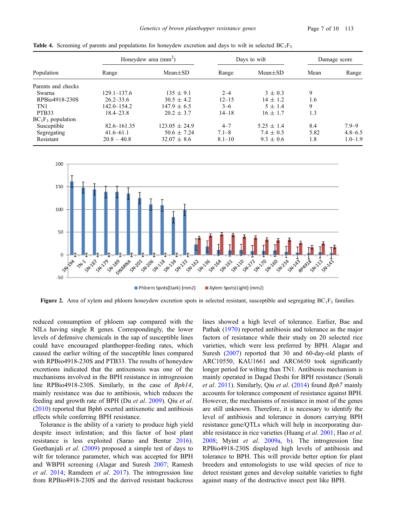| Population           | Honeydew area $(mm2)$ |                   | Days to wilt |                | Damage score |             |
|----------------------|-----------------------|-------------------|--------------|----------------|--------------|-------------|
|                      | Range                 | $Mean \pm SD$     | Range        | $Mean \pm SD$  | Mean         | Range       |
| Parents and checks   |                       |                   |              |                |              |             |
| Swarna               | 129.1–137.6           | $135 \pm 9.1$     | $2 - 4$      | $3 \pm 0.3$    | 9            |             |
| RPBio4918-230S       | $26.2 - 33.6$         | $30.5 \pm 4.2$    | $12 - 15$    | $14 \pm 1.2$   | 1.6          |             |
| TN1                  | $142.0 - 154.2$       | $147.9 \pm 6.5$   | $3 - 6$      | $5 \pm 1.4$    | 9            |             |
| PTB <sub>33</sub>    | $18.4 - 23.8$         | $20.2 \pm 3.7$    | $14 - 18$    | $16 \pm 1.7$   | 1.3          |             |
| $BC_1F_3$ population |                       |                   |              |                |              |             |
| Susceptible          | $82.6 - 161.35$       | $123.05 \pm 24.9$ | $4 - 7$      | $5.25 \pm 1.4$ | 8.4          | $7.9 - 9$   |
| Segregating          | $41.6 - 61.1$         | $50.6 \pm 7.24$   | $7.1 - 8$    | $7.4 \pm 0.5$  | 5.82         | $4.8 - 6.5$ |
| Resistant            | $20.8 - 40.8$         | $32.07 \pm 8.6$   | $8.1 - 10$   | $9.3 \pm 0.6$  | 1.8          | $1.0 - 1.9$ |

**Table 4.** Screening of parents and populations for honeydew excretion and days to wilt in selected  $BC_1F_3$ .



Figure 2. Area of xylem and phloem honeydew excretion spots in selected resistant, susceptible and segregating  $BC_1F_3$  families.

reduced consumption of phloem sap compared with the NILs having single R genes. Correspondingly, the lower levels of defensive chemicals in the sap of susceptible lines could have encouraged planthopper-feeding rates, which caused the earlier wilting of the susceptible lines compared with RPBio4918-230S and PTB33. The results of honeydew excretions indicated that the antixenosis was one of the mechanisms involved in the BPH resistance in introgression line RPBio4918-230S. Similarly, in the case of Bph14, mainly resistance was due to antibiosis, which reduces the feeding and growth rate of BPH (Du et al. 2009). Qiu et al. (2010) reported that Bph6 exerted antixenotic and antibiosis effects while conferring BPH resistance.

Tolerance is the ability of a variety to produce high yield despite insect infestation; and this factor of host plant resistance is less exploited (Sarao and Bentur 2016). Geethanjali et al. (2009) proposed a simple test of days to wilt for tolerance parameter, which was accepted for BPH and WBPH screening (Alagar and Suresh 2007; Ramesh et al. 2014; Ramdeen et al. 2017). The introgression line from RPBio4918-230S and the derived resistant backcross lines showed a high level of tolerance. Earlier, Bae and Pathak (1970) reported antibiosis and tolerance as the major factors of resistance while their study on 20 selected rice varieties, which were less preferred by BPH. Alagar and Suresh (2007) reported that 30 and 60-day-old plants of ARC10550, KAU1661 and ARC6650 took significantly longer period for wilting than TN1. Antibiosis mechanism is mainly operated in Dagad Deshi for BPH resistance (Sonali et al. 2011). Similarly, Qiu et al. (2014) found Bph7 mainly accounts for tolerance component of resistance against BPH. However, the mechanisms of resistance in most of the genes are still unknown. Therefore, it is necessary to identify the level of antibiosis and tolerance in donors carrying BPH resistance gene/QTLs which will help in incorporating durable resistance in rice varieties (Huang et al. 2001; Hao et al. 2008; Myint et al. 2009a, b). The introgression line RPBio4918-230S displayed high levels of antibiosis and tolerance to BPH. This will provide better option for plant breeders and entomologists to use wild species of rice to detect resistant genes and develop suitable varieties to fight against many of the destructive insect pest like BPH.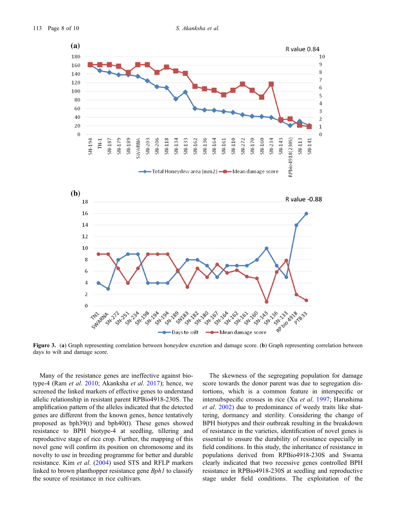

Figure 3. (a) Graph representing correlation between honeydew excretion and damage score. (b) Graph representing correlation between days to wilt and damage score.

Many of the resistance genes are ineffective against biotype-4 (Ram et al. 2010; Akanksha et al. 2017); hence, we screened the linked markers of effective genes to understand allelic relationship in resistant parent RPBio4918-230S. The amplification pattern of the alleles indicated that the detected genes are different from the known genes, hence tentatively proposed as bph39(t) and bph40(t). These genes showed resistance to BPH biotype-4 at seedling, tillering and reproductive stage of rice crop. Further, the mapping of this novel gene will confirm its position on chromosome and its novelty to use in breeding programme for better and durable resistance. Kim et al. (2004) used STS and RFLP markers linked to brown planthopper resistance gene Bph1 to classify the source of resistance in rice cultivars.

The skewness of the segregating population for damage score towards the donor parent was due to segregation distortions, which is a common feature in interspecific or intersubspecific crosses in rice (Xu et al. 1997; Harushima et al. 2002) due to predominance of weedy traits like shattering, dormancy and sterility. Considering the change of BPH biotypes and their outbreak resulting in the breakdown of resistance in the varieties, identification of novel genes is essential to ensure the durability of resistance especially in field conditions. In this study, the inheritance of resistance in populations derived from RPBio4918-230S and Swarna clearly indicated that two recessive genes controlled BPH resistance in RPBio4918-230S at seedling and reproductive stage under field conditions. The exploitation of the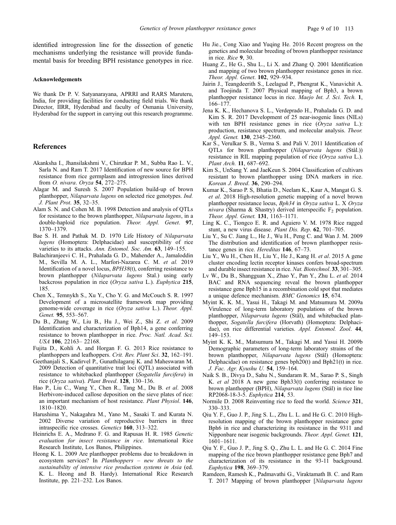identified introgression line for the dissection of genetic mechanisms underlying the resistance will provide fundamental basis for breeding BPH resistance genotypes in rice.

#### Acknowledgements

We thank Dr P. V. Satyanarayana, APRRI and RARS Maruteru, India, for providing facilities for conducting field trials. We thank Director, IIRR, Hyderabad and faculty of Osmania University, Hyderabad for the support in carrying out this research programme.

# References

- Akanksha I., Jhansilakshmi V., Chirutkar P. M., Subba Rao L. V., Sarla N. and Ram T. 2017 Identification of new source for BPH resistance from rice germplasm and introgression lines derived from O. nivara. Oryza 54, 272–275.
- Alagar M. and Suresh S. 2007 Population build-up of brown planthopper, Nilaparvata lugens on selected rice genotypes. Ind. J. Plant Prot. 35, 32–35.
- Alam S. N. and Cohen M. B. 1998 Detection and analysis of QTLs for resistance to the brown planthopper, Nilaparvata lugens, in a double-haploid rice population. Theor. Appl. Genet. 97, 1370–1379.
- Bae S. H. and Pathak M. D. 1970 Life History of Nilaparvata lugens (Homoptera: Delphacidae) and susceptibility of rice varieties to its attacks. Ann. Entomol. Soc. Am. 63, 149–155.
- Balachiranjeevi C. H., Prahalada G. D., Mahender A., Jamaloddin M., Sevilla M. A. L., Marfori-Nazarea C. M. et al. 2019 Identification of a novel locus, BPH38(t), conferring resistance to brown planthopper (Nilaparvata lugens Stal.) using early backcross population in rice (Oryza sativa L.). Euphytica 215, 185.
- Chen X., Temnykh S., Xu Y., Cho Y. G. and McCouch S. R. 1997 Development of a microsatellite framework map providing genome-wide coverage in rice (Oryza sativa L.). Theor. Appl. Genet. 95, 553–567.
- Du B., Zhang W., Liu B., Hu J., Wei Z., Shi Z. et al. 2009 Identification and characterization of Bph14, a gene conferring resistance to brown planthopper in rice. Proc. Natl. Acad. Sci. USA 106, 22163– 22168.
- Fujita D., Kohli A. and Horgan F. G. 2013 Rice resistance to planthoppers and leafhoppers. Crit. Rev. Plant Sci. 32, 162–191.
- Geethanjali S., Kadirvel P., Gunathilagaraj K. and Maheswaran M. 2009 Detection of quantitative trait loci (QTL) associated with resistance to whitebacked planthopper (Sogatella furcifera) in rice (Oryza sativa). Plant Breed. 128, 130–136.
- Hao P., Liu C., Wang Y., Chen R., Tang M., Du B. et al. 2008 Herbivore-induced callose deposition on the sieve plates of rice: an important mechanism of host resistance. Plant Physiol. 146, 1810–1820.
- Harushima Y., Nakagahra M., Yano M., Sasaki T. and Kurata N. 2002 Diverse variation of reproductive barriers in three intraspecific rice crosses. Genetics 160, 313–322.
- Heinrichs E. A., Medrano F. G. and Rapusas H. R. 1985 Genetic evaluation for insect resistance in rice. International Rice Research Institute, Los Banos, Philippines.
- Heong K. L. 2009 Are planthopper problems due to breakdown in ecosystem services? In Planthoppers – new threats to the sustainability of intensive rice production systems in Asia (ed. K. L. Heong and B. Hardy). International Rice Research Institute, pp. 221–232. Los Banos.
- Hu Jie., Cong Xiao and Yuqing He. 2016 Recent progress on the genetics and molecular breeding of brown planthopper resistance in rice. Rice 9, 30.
- Huang Z., He G., Shu L., Li X. and Zhang Q. 2001 Identification and mapping of two brown planthopper resistance genes in rice. Theor. Appl. Genet. 102, 929–934.
- Jairin J., Teangdeerith S., Leelagud P., Phengrat K., Vanavichit A. and Toojinda T. 2007 Physical mapping of Bph3, a brown planthopper resistance locus in rice. Maejo Int. J. Sci. Tech. 1, 166–177.
- Jena K. K., Hechanova S. L., Verdeprado H., Prahalada G. D. and Kim S. R. 2017 Development of 25 near-isogenic lines (NILs) with ten BPH resistance genes in rice (Oryza sativa L.): production, resistance spectrum, and molecular analysis. Theor. Appl. Genet. 130, 2345–2360.
- Kar S., Verulkar S. B., Verma S. and Pali V. 2011 Identification of QTLs for brown planthopper (Nilaparvata lugens (Stål.)) resistance in RIL mapping population of rice (Oryza sativa L.). Plant Arch. 11, 687–692.
- Kim S., UnSang Y. and JaeKeun S. 2004 Classification of cultivars resistant to brown planthopper using DNA markers in rice. Korean J. Breed. 36, 290–294.
- Kumar K., Sarao P. S, Bhatia D., Neelam K., Kaur A, Mangat G. S. et al. 2018 High-resolution genetic mapping of a novel brown planthopper resistance locus, Bph34 in Oryza sativa L. X Oryza nivara (Sharma & Shastry) derived interspecific  $F_2$  population. Theor. Appl. Genet. 131, 1163–1171.
- Ling K. C., Tiongco E. R. and Aguiero V. M. 1978 Rice ragged stunt, a new virus disease. Plant Dis. Rep. 62, 701–705.
- Liu Y., Su C. Jiang L., He J., Wu H., Peng C. and Wan J. M. 2009 The distribution and identification of brown planthopper resistance genes in rice. Hereditas 146, 67–73.
- Liu Y., Wu H., Chen H., Liu Y., He J., Kang H. et al. 2015 A gene cluster encoding lectin receptor kinases confers broad-spectrum and durable insect resistance in rice. Nat. Biotechnol. 33, 301–305.
- Lv W., Du B., Shangguan X., Zhao Y., Pan Y., Zhu L. et al. 2014 BAC and RNA sequencing reveal the brown planthopper resistance gene Bph15 in a recombination cold spot that mediates a unique defence mechanism. BMC Genomics 15, 674.
- Myint K. K. M., Yasui H., Takagi M. and Matsumura M. 2009a Virulence of long-term laboratory populations of the brown planthopper, Nilaparvata lugens (Stål), and whitebacked planthopper, Sogatella furcifera (Horvath) (Homoptera: Delphacidae), on rice differential varieties. Appl. Entomol. Zool. 44, 149–153.
- Myint K. K. M., Matsumura M., Takagi M. and Yasui H. 2009b Demographic parameters of long-term laboratory strains of the brown planthopper, Nilaparvata lugens (Stål) (Homoptera: Delphacidae) on resistance genes bph20(t) and Bph21(t) in rice. J. Fac. Agr. Kyushu U. 54, 159–164.
- Naik S. B., Divya D., Sahu N., Sundaram R. M., Sarao P. S., Singh K. et al 2018 A new gene Bph33(t) conferring resistance to brown planthopper (BPH), Nilaparvata lugens (Stål) in rice line RP2068-18-3-5. Euphytica 214, 53.
- Normile D. 2008 Reinventing rice to feed the world. Science 321, 330–333.
- Qiu Y. F., Guo J. P., Jing S. L., Zhu L. L. and He G. C. 2010 Highresolution mapping of the brown planthopper resistance gene Bph6 in rice and characterizing its resistance in the 9311 and Nipponbare near isogenic backgrounds. Theor. Appl. Genet. 121, 1601–1611.
- Qiu Y. F., Guo J. P., Jing S. Q., Zhu L. L. and He G. C. 2014 Fine mapping of the rice brown planthopper resistance gene Bph7 and characterization of its resistance in the 93-11 background. Euphytica 198, 369–379.
- Ramdeen, Ramesh K., Padmavathi G., Viraktamath B. C. and Ram T. 2017 Mapping of brown planthopper [Nilaparvata lugens